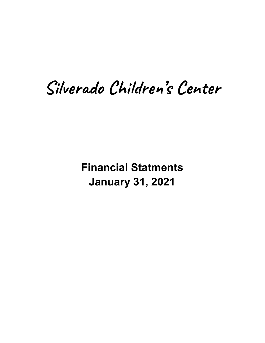# Silverado Children's Center

**Financial Statments January 31, 2021**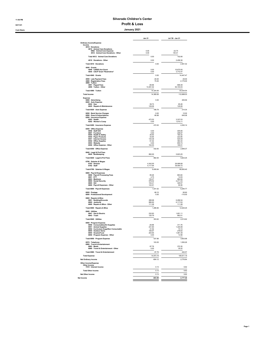## 11:56 PM Silverado Children's Center

# 02/11/21 02/11/21

Cash Basis January 2021

|                                                                            | <b>Jan 21</b>       | Jul '20 - Jan 21        |
|----------------------------------------------------------------------------|---------------------|-------------------------|
| <b>Ordinary Income/Expense</b><br>Income                                   |                     |                         |
| 4010 · Donations<br>4012 - Animal Care Donations                           |                     |                         |
| 6962 · Animal Care Expense<br>4012 - Animal Care Donations - Other         | 0.00<br>0.00        | $-32.75$<br>135.41      |
| Total 4012 · Animal Care Donations                                         | 0.00                | 102.66                  |
| 4010 · Donations - Other                                                   | 0.00                | 2.458.36                |
| Total 4010 · Donations                                                     | 0.00                | 2,561.02                |
| 4040 · Grants<br>4046 · CARES Act Grant<br>4044 · CSCP Grant *Restrictive* | 0.00<br>0.00        | 10,675.00<br>3,772.47   |
| Total 4040 · Grants                                                        | 0.00                | 14.447.47               |
| 4050 · Late Payment Fees                                                   | $-30.00$<br>75.00   | $-30.00$<br>2,175.00    |
| 4080 · Registration Fees<br>4090 · Tuition                                 |                     |                         |
| 4091 · Paypal Fees<br>4090 - Tuition - Other                               | -66.96<br>14.391.02 | $-568.49$<br>94,103.03  |
| Total 4090 · Tuition                                                       | 14.324.06           | 93,534.54               |
| <b>Total Income</b>                                                        | 14,369.06           | 112,688.03              |
| Expense<br>6000 · Advertising                                              | 0.00                | 455.56                  |
| 6020 · Auto Expense                                                        |                     |                         |
| $6022 \cdot Gas$<br>6025 · Repairs & Maintenance                           | 59.73<br>129.06     | 85.28<br>129.06         |
| Total 6020 · Auto Expense                                                  | 188 79              | 214.34                  |
| 6050 · Bank Service Charges                                                | 0.00                | 12.00                   |
| 6090 · Dues & Subscriptions<br>6200 · Insurance Expense                    | 68.98               | 645.08                  |
| 6203 · Health<br>6202 · Worker's Comp                                      | 472.52<br>0.00      | 3 3 3 7 0 3<br>1,015.11 |
| Total 6200 · Insurance Expense                                             | 472.52              | 4,352.14                |
| 6550 · Office Expense                                                      |                     |                         |
| 6958 · Staff Gift<br>6957 · Furniture                                      | 0.00<br>0.00        | 405.66<br>208.97        |
| 6555 · Health & Safety<br>6554 · Paper Products                            | 26.93<br>44 95      | 184.32<br>222.85        |
| 6551 · Internet Access<br>6552 · Office Supplies                           | 135 38<br>61.02     | 520.58<br>364.34        |
| 6553 · Website<br>6550 · Office Expense - Other                            | 0.00<br>164.55      | 855.74<br>186.91        |
| Total 6550 · Office Expense                                                | 432.83              | 2.949.37                |
| 6640 · Legal & Prof Fees                                                   |                     |                         |
| 6644 · Bookkeeping                                                         | 882.00              | 5.823.25                |
| Total 6640 · Legal & Prof Fees                                             | 882.00              | 5,823.25                |
| 6790 · Salaries & Wages<br>6793 · Director                                 | 4 342 00            | 29.088.68               |
| $6792 \cdot$ Staff                                                         | 5,117.94            | 39,494.72               |
| Total 6790 · Salaries & Wages                                              | 9,459.94            | 68,583.40               |
| 6800 · Payroll Expenses<br>6806 · Payroll Processing Fees                  | 85.26               | 663.84                  |
| 6801 · ETT<br>6803 · Medicare                                              | 4.75<br>135.27      | 14.93<br>984.84         |
| 6804 · Social Security<br>6805 · SUI                                       | 578.42<br>104 41    | 4.211.03<br>329.57      |
| 6800 · Payroll Expenses - Other                                            | 122.91              | 90.56                   |
| Total 6800 · Payroll Expenses                                              | 1.031.02            | 6.294.77                |
| 6820 · Postage<br>6840 · Professional Development                          | 68.10<br>0.00       | 95.60<br>$-110.00$      |
| 6900 · Repairs & Mtce                                                      |                     |                         |
| 6901 · Building/Grounds<br>6905 · Janitorial                               | 288.98<br>886.60    | 6,296.54<br>6,117.63    |
| 6900 · Repairs & Mtce - Other                                              | 111.08              | 111.08                  |
| Total 6900 · Repairs & Mtce<br>6940 · Utilities                            | 1 286 66            | 12,525.25               |
| 6941 · Gas & Electric<br>6943 · Trash                                      | 232.83              | 1,651.11                |
| Total 6940 · Utilities                                                     | 120.79<br>353.62    | 862.51<br>2,513.62      |
| 6950 · Program Expense                                                     |                     |                         |
| 6956 · Consumables/Art Supplies<br>6951 · Animal Supplies                  | $-26.88$<br>231.60  | 311.76<br>1,345.99      |
| 6952 · Curriculum Supp/Non Consumable<br>6954 · Outdoor Items              | 21.54<br>106.67     | 73.13<br>278.62         |
| 6955 · Snacks/Food                                                         | 204.95<br>0.00      | 1,581.49<br>12.99       |
| 6950 · Program Expense - Other<br>Total 6950 · Program Expense             | 53788               |                         |
| 6970 · Telephone                                                           | 103.05              | 3,603.98<br>1,550.26    |
| 6980 · Travel & Entertainment<br>6983 · Meals                              | 87.79               | 372.35                  |
| 6980 · Travel & Entertainment - Other                                      | 0.00                | 30.22                   |
| Total 6980 · Travel & Entertainment                                        | 87.79               | 402.57                  |
| <b>Total Expense</b>                                                       | 14.973.18           | 109,911.19              |
| <b>Net Ordinary Income</b>                                                 | $-604.12$           | 2,776.84                |
| Other Income/Expense<br>Other Income                                       |                     |                         |
| 7010 · Interest Income                                                     | 0.13                | 0.62                    |
| <b>Total Other Income</b>                                                  | 0.13                | 0.62                    |
| Net Other Income                                                           | 0.13                | 0.62                    |
| <b>Net Income</b>                                                          | $-603.99$           | 2,777.46                |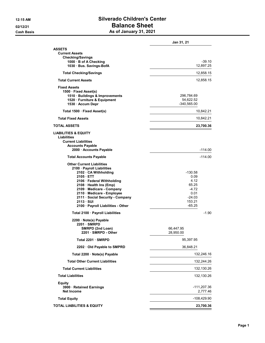# 12:15 AM Silverado Children's Center 02/12/21 **Balance Sheet** Cash Basis **As of January 31, 2021**

|                                                                                                                                                                                                                                                                                                               | <b>Jan 31, 21</b>                                                                       |
|---------------------------------------------------------------------------------------------------------------------------------------------------------------------------------------------------------------------------------------------------------------------------------------------------------------|-----------------------------------------------------------------------------------------|
| <b>ASSETS</b><br><b>Current Assets</b><br><b>Checking/Savings</b><br>1000 · B of A Checking<br>1030 Bus. Savings-BofA                                                                                                                                                                                         | $-39.10$<br>12,897.25                                                                   |
| <b>Total Checking/Savings</b>                                                                                                                                                                                                                                                                                 | 12,858.15                                                                               |
| <b>Total Current Assets</b>                                                                                                                                                                                                                                                                                   | 12,858.15                                                                               |
| <b>Fixed Assets</b><br>1500 · Fixed Asset(s)<br>1510 · Buildings & Improvements<br>1520 · Furniture & Equipment<br>1530 · Accum Depr                                                                                                                                                                          | 296,784.69<br>54,622.52<br>-340,565.00                                                  |
| Total 1500 · Fixed Asset(s)                                                                                                                                                                                                                                                                                   | 10,842.21                                                                               |
| <b>Total Fixed Assets</b>                                                                                                                                                                                                                                                                                     | 10,842.21                                                                               |
| <b>TOTAL ASSETS</b>                                                                                                                                                                                                                                                                                           | 23,700.36                                                                               |
| <b>LIABILITIES &amp; EQUITY</b><br>Liabilities<br><b>Current Liabilities</b><br><b>Accounts Payable</b><br>2000 · Accounts Payable                                                                                                                                                                            | $-114.00$                                                                               |
| <b>Total Accounts Payable</b>                                                                                                                                                                                                                                                                                 | $-114.00$                                                                               |
| <b>Other Current Liabilities</b><br>2100 · Payroll Liabilities<br>2102 · CA Withholding<br>2105 ETT<br>2106 · Federal Withholding<br>2108 · Health Ins (Emp)<br>2109 · Medicare - Company<br>2110 Medicare - Employee<br>2111 · Social Security - Company<br>2113 · SUI<br>2100 · Payroll Liabilities - Other | $-130.58$<br>0.09<br>4.12<br>65.25<br>$-4.72$<br>0.01<br>$-24.03$<br>153.21<br>$-65.25$ |
| Total 2100 · Payroll Liabilities                                                                                                                                                                                                                                                                              | $-1.90$                                                                                 |
| 2200 · Note(s) Payable<br>2201 · SMRPD<br>SMRPD (2nd Loan)<br>2201 · SMRPD - Other                                                                                                                                                                                                                            | 66,447.95<br>28,950.00                                                                  |
| Total 2201 · SMRPD                                                                                                                                                                                                                                                                                            | 95,397.95                                                                               |
| 2202 · Old Payable to SMPRD                                                                                                                                                                                                                                                                                   | 36,848.21                                                                               |
| Total 2200 · Note(s) Payable                                                                                                                                                                                                                                                                                  | 132,246.16                                                                              |
| <b>Total Other Current Liabilities</b>                                                                                                                                                                                                                                                                        | 132,244.26                                                                              |
| <b>Total Current Liabilities</b>                                                                                                                                                                                                                                                                              | 132,130.26                                                                              |
| <b>Total Liabilities</b>                                                                                                                                                                                                                                                                                      | 132,130.26                                                                              |
| <b>Equity</b><br>3900 · Retained Earnings<br>Net Income                                                                                                                                                                                                                                                       | -111,207.36<br>2,777.46                                                                 |
| <b>Total Equity</b>                                                                                                                                                                                                                                                                                           | -108,429.90                                                                             |
| <b>TOTAL LIABILITIES &amp; EQUITY</b>                                                                                                                                                                                                                                                                         | 23,700.36                                                                               |